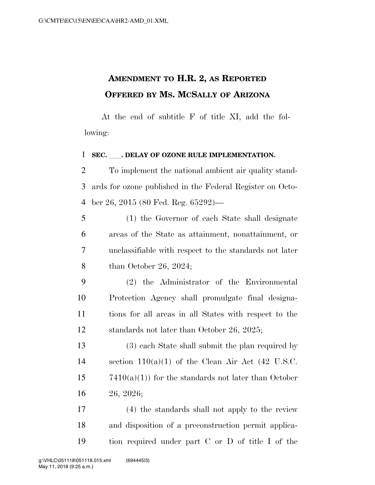## **AMENDMENT TO H.R. 2, AS REPORTED OFFERED BY MS. MCSALLY OF ARIZONA**

At the end of subtitle F of title XI, add the following:

## **SEC.** . DELAY OF OZONE RULE IMPLEMENTATION.

 To implement the national ambient air quality stand- ards for ozone published in the Federal Register on Octo-ber 26, 2015 (80 Fed. Reg. 65292)—

 (1) the Governor of each State shall designate areas of the State as attainment, nonattainment, or unclassifiable with respect to the standards not later than October 26, 2024;

 (2) the Administrator of the Environmental Protection Agency shall promulgate final designa- tions for all areas in all States with respect to the standards not later than October 26, 2025;

 (3) each State shall submit the plan required by 14 section  $110(a)(1)$  of the Clean Air Act (42 U.S.C.  $7410(a)(1)$  for the standards not later than October 26, 2026;

 (4) the standards shall not apply to the review and disposition of a preconstruction permit applica-tion required under part C or D of title I of the